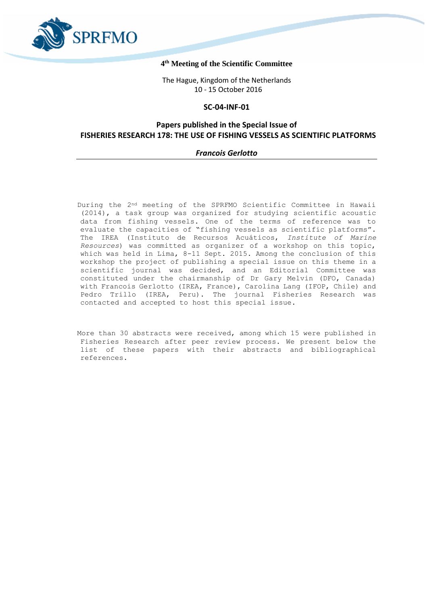

# **4 th Meeting of the Scientific Committee**

The Hague, Kingdom of the Netherlands 10 - 15 October 2016

# **SC-04-INF-01**

# **Papers published in the Special Issue of FISHERIES RESEARCH 178: THE USE OF FISHING VESSELS AS SCIENTIFIC PLATFORMS**

# *Francois Gerlotto*

During the 2nd meeting of the SPRFMO Scientific Committee in Hawaii (2014), a task group was organized for studying scientific acoustic data from fishing vessels. One of the terms of reference was to evaluate the capacities of "fishing vessels as scientific platforms". The IREA (Instituto de Recursos Acuáticos, *Institute of Marine Resources*) was committed as organizer of a workshop on this topic, which was held in Lima, 8-11 Sept. 2015. Among the conclusion of this workshop the project of publishing a special issue on this theme in a scientific journal was decided, and an Editorial Committee was constituted under the chairmanship of Dr Gary Melvin (DFO, Canada) with Francois Gerlotto (IREA, France), Carolina Lang (IFOP, Chile) and Pedro Trillo (IREA, Peru). The journal Fisheries Research was contacted and accepted to host this special issue.

More than 30 abstracts were received, among which 15 were published in Fisheries Research after peer review process. We present below the list of these papers with their abstracts and bibliographical references.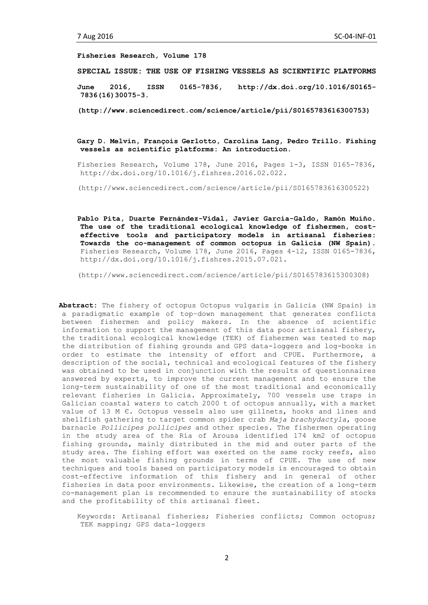**Fisheries Research, Volume 178**

**SPECIAL ISSUE: THE USE OF FISHING VESSELS AS SCIENTIFIC PLATFORMS**

**June 2016, ISSN 0165-7836, http://dx.doi.org/10.1016/S0165- 7836(16)30075-3.**

**(http://www.sciencedirect.com/science/article/pii/S0165783616300753)**

# **Gary D. Melvin, François Gerlotto, Carolina Lang, Pedro Trillo. Fishing vessels as scientific platforms: An introduction**.

Fisheries Research, Volume 178, June 2016, Pages 1-3, ISSN 0165-7836, http://dx.doi.org/10.1016/j.fishres.2016.02.022.

(http://www.sciencedirect.com/science/article/pii/S0165783616300522)

**Pablo Pita, Duarte Fernández-Vidal, Javier García-Galdo, Ramón Muíño. The use of the traditional ecological knowledge of fishermen, costeffective tools and participatory models in artisanal fisheries: Towards the co-management of common octopus in Galicia (NW Spain).** Fisheries Research, Volume 178, June 2016, Pages 4-12, ISSN 0165-7836, http://dx.doi.org/10.1016/j.fishres.2015.07.021.

(http://www.sciencedirect.com/science/article/pii/S0165783615300308)

**Abstract:** The fishery of octopus Octopus vulgaris in Galicia (NW Spain) is a paradigmatic example of top–down management that generates conflicts between fishermen and policy makers. In the absence of scientific information to support the management of this data poor artisanal fishery, the traditional ecological knowledge (TEK) of fishermen was tested to map the distribution of fishing grounds and GPS data-loggers and log-books in order to estimate the intensity of effort and CPUE. Furthermore, a description of the social, technical and ecological features of the fishery was obtained to be used in conjunction with the results of questionnaires answered by experts, to improve the current management and to ensure the long-term sustainability of one of the most traditional and economically relevant fisheries in Galicia. Approximately, 700 vessels use traps in Galician coastal waters to catch 2000 t of octopus annually, with a market value of 13 M Є. Octopus vessels also use gillnets, hooks and lines and shellfish gathering to target common spider crab *Maja brachydactyla*, goose barnacle *Pollicipes pollicipes* and other species. The fishermen operating in the study area of the Ría of Arousa identified 174 km2 of octopus fishing grounds, mainly distributed in the mid and outer parts of the study area. The fishing effort was exerted on the same rocky reefs, also the most valuable fishing grounds in terms of CPUE. The use of new techniques and tools based on participatory models is encouraged to obtain cost-effective information of this fishery and in general of other fisheries in data poor environments. Likewise, the creation of a long-term co-management plan is recommended to ensure the sustainability of stocks and the profitability of this artisanal fleet.

Keywords: Artisanal fisheries; Fisheries conflicts; Common octopus; TEK mapping; GPS data-loggers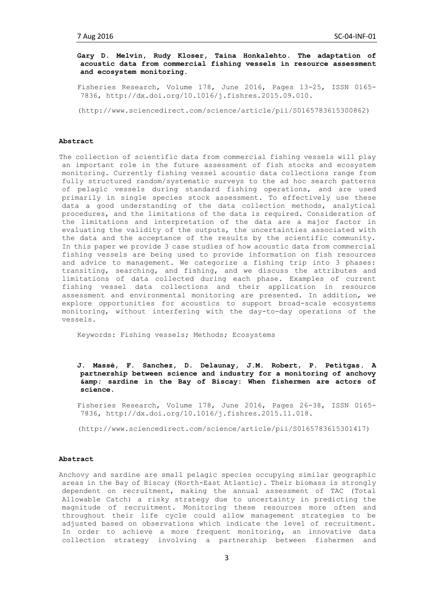**Gary D. Melvin, Rudy Kloser, Taina Honkalehto**. **The adaptation of acoustic data from commercial fishing vessels in resource assessment and ecosystem monitoring.**

Fisheries Research, Volume 178, June 2016, Pages 13-25, ISSN 0165- 7836, http://dx.doi.org/10.1016/j.fishres.2015.09.010.

(http://www.sciencedirect.com/science/article/pii/S0165783615300862)

## **Abstract**

The collection of scientific data from commercial fishing vessels will play an important role in the future assessment of fish stocks and ecosystem monitoring. Currently fishing vessel acoustic data collections range from fully structured random/systematic surveys to the ad hoc search patterns of pelagic vessels during standard fishing operations, and are used primarily in single species stock assessment. To effectively use these data a good understanding of the data collection methods, analytical procedures, and the limitations of the data is required. Consideration of the limitations and interpretation of the data are a major factor in evaluating the validity of the outputs, the uncertainties associated with the data and the acceptance of the results by the scientific community. In this paper we provide 3 case studies of how acoustic data from commercial fishing vessels are being used to provide information on fish resources and advice to management. We categorize a fishing trip into 3 phases: transiting, searching, and fishing, and we discuss the attributes and limitations of data collected during each phase. Examples of current fishing vessel data collections and their application in resource assessment and environmental monitoring are presented. In addition, we explore opportunities for acoustics to support broad-scale ecosystems monitoring, without interfering with the day-to-day operations of the vessels.

Keywords: Fishing vessels; Methods; Ecosystems

**J. Massé, F. Sanchez, D. Delaunay, J.M. Robert, P. Petitgas**. **A partnership between science and industry for a monitoring of anchovy & sardine in the Bay of Biscay: When fishermen are actors of science**.

Fisheries Research, Volume 178, June 2016, Pages 26-38, ISSN 0165- 7836, http://dx.doi.org/10.1016/j.fishres.2015.11.018.

(http://www.sciencedirect.com/science/article/pii/S0165783615301417)

## **Abstract**

Anchovy and sardine are small pelagic species occupying similar geographic areas in the Bay of Biscay (North-East Atlantic). Their biomass is strongly dependent on recruitment, making the annual assessment of TAC (Total Allowable Catch) a risky strategy due to uncertainty in predicting the magnitude of recruitment. Monitoring these resources more often and throughout their life cycle could allow management strategies to be adjusted based on observations which indicate the level of recruitment. In order to achieve a more frequent monitoring, an innovative data collection strategy involving a partnership between fishermen and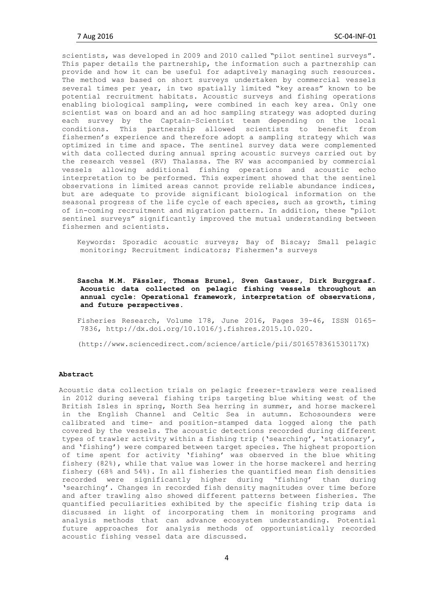scientists, was developed in 2009 and 2010 called "pilot sentinel surveys". This paper details the partnership, the information such a partnership can provide and how it can be useful for adaptively managing such resources. The method was based on short surveys undertaken by commercial vessels several times per year, in two spatially limited "key areas" known to be potential recruitment habitats. Acoustic surveys and fishing operations enabling biological sampling, were combined in each key area. Only one scientist was on board and an ad hoc sampling strategy was adopted during each survey by the Captain–Scientist team depending on the local conditions. This partnership allowed scientists to benefit from fishermen's experience and therefore adopt a sampling strategy which was optimized in time and space. The sentinel survey data were complemented with data collected during annual spring acoustic surveys carried out by the research vessel (RV) Thalassa. The RV was accompanied by commercial vessels allowing additional fishing operations and acoustic echo interpretation to be performed. This experiment showed that the sentinel observations in limited areas cannot provide reliable abundance indices, but are adequate to provide significant biological information on the seasonal progress of the life cycle of each species, such as growth, timing of in-coming recruitment and migration pattern. In addition, these "pilot sentinel surveys" significantly improved the mutual understanding between fishermen and scientists.

Keywords: Sporadic acoustic surveys; Bay of Biscay; Small pelagic monitoring; Recruitment indicators; Fishermen's surveys

# **Sascha M.M. Fässler, Thomas Brunel, Sven Gastauer, Dirk Burggraaf**. **Acoustic data collected on pelagic fishing vessels throughout an annual cycle: Operational framework, interpretation of observations, and future perspectives**.

Fisheries Research, Volume 178, June 2016, Pages 39-46, ISSN 0165- 7836, http://dx.doi.org/10.1016/j.fishres.2015.10.020.

(http://www.sciencedirect.com/science/article/pii/S016578361530117X)

#### **Abstract**

Acoustic data collection trials on pelagic freezer-trawlers were realised in 2012 during several fishing trips targeting blue whiting west of the British Isles in spring, North Sea herring in summer, and horse mackerel in the English Channel and Celtic Sea in autumn. Echosounders were calibrated and time- and position-stamped data logged along the path covered by the vessels. The acoustic detections recorded during different types of trawler activity within a fishing trip ('searching', 'stationary', and 'fishing') were compared between target species. The highest proportion of time spent for activity 'fishing' was observed in the blue whiting fishery (82%), while that value was lower in the horse mackerel and herring fishery (68% and 54%). In all fisheries the quantified mean fish densities recorded were significantly higher during 'fishing' than during 'searching'. Changes in recorded fish density magnitudes over time before and after trawling also showed different patterns between fisheries. The quantified peculiarities exhibited by the specific fishing trip data is discussed in light of incorporating them in monitoring programs and analysis methods that can advance ecosystem understanding. Potential future approaches for analysis methods of opportunistically recorded acoustic fishing vessel data are discussed.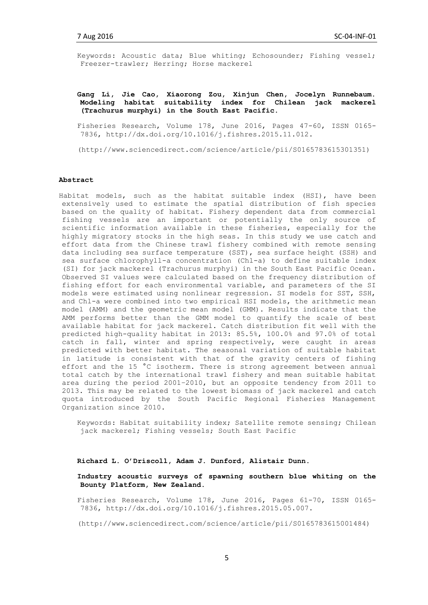Keywords: Acoustic data; Blue whiting; Echosounder; Fishing vessel; Freezer-trawler; Herring; Horse mackerel

# **Gang Li, Jie Cao, Xiaorong Zou, Xinjun Chen, Jocelyn Runnebaum. Modeling habitat suitability index for Chilean jack mackerel (Trachurus murphyi) in the South East Pacific**.

Fisheries Research, Volume 178, June 2016, Pages 47-60, ISSN 0165- 7836, http://dx.doi.org/10.1016/j.fishres.2015.11.012.

(http://www.sciencedirect.com/science/article/pii/S0165783615301351)

# **Abstract**

Habitat models, such as the habitat suitable index (HSI), have been extensively used to estimate the spatial distribution of fish species based on the quality of habitat. Fishery dependent data from commercial fishing vessels are an important or potentially the only source of scientific information available in these fisheries, especially for the highly migratory stocks in the high seas. In this study we use catch and effort data from the Chinese trawl fishery combined with remote sensing data including sea surface temperature (SST), sea surface height (SSH) and sea surface chlorophyll-a concentration (Chl-a) to define suitable index (SI) for jack mackerel (Trachurus murphyi) in the South East Pacific Ocean. Observed SI values were calculated based on the frequency distribution of fishing effort for each environmental variable, and parameters of the SI models were estimated using nonlinear regression. SI models for SST, SSH, and Chl-a were combined into two empirical HSI models, the arithmetic mean model (AMM) and the geometric mean model (GMM). Results indicate that the AMM performs better than the GMM model to quantify the scale of best available habitat for jack mackerel. Catch distribution fit well with the predicted high-quality habitat in 2013: 85.5%, 100.0% and 97.0% of total catch in fall, winter and spring respectively, were caught in areas predicted with better habitat. The seasonal variation of suitable habitat in latitude is consistent with that of the gravity centers of fishing effort and the 15 °C isotherm. There is strong agreement between annual total catch by the international trawl fishery and mean suitable habitat area during the period 2001–2010, but an opposite tendency from 2011 to 2013. This may be related to the lowest biomass of jack mackerel and catch quota introduced by the South Pacific Regional Fisheries Management Organization since 2010.

Keywords: Habitat suitability index; Satellite remote sensing; Chilean jack mackerel; Fishing vessels; South East Pacific

### **Richard L. O'Driscoll, Adam J. Dunford, Alistair Dunn**.

**Industry acoustic surveys of spawning southern blue whiting on the Bounty Platform, New Zealand.**

Fisheries Research, Volume 178, June 2016, Pages 61-70, ISSN 0165- 7836, http://dx.doi.org/10.1016/j.fishres.2015.05.007.

(http://www.sciencedirect.com/science/article/pii/S0165783615001484)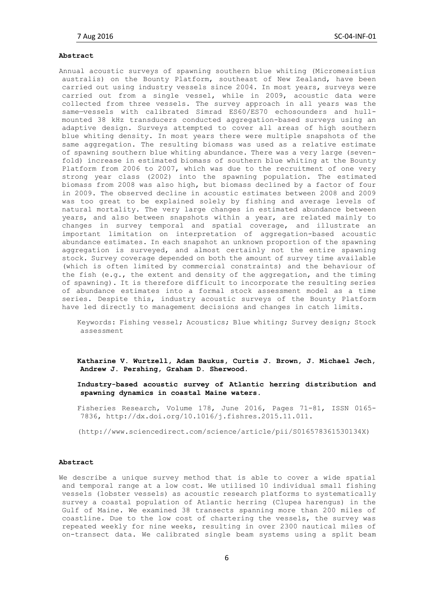#### **Abstract**

Annual acoustic surveys of spawning southern blue whiting (Micromesistius australis) on the Bounty Platform, southeast of New Zealand, have been carried out using industry vessels since 2004. In most years, surveys were carried out from a single vessel, while in 2009, acoustic data were collected from three vessels. The survey approach in all years was the same—vessels with calibrated Simrad ES60/ES70 echosounders and hullmounted 38 kHz transducers conducted aggregation-based surveys using an adaptive design. Surveys attempted to cover all areas of high southern blue whiting density. In most years there were multiple snapshots of the same aggregation. The resulting biomass was used as a relative estimate of spawning southern blue whiting abundance. There was a very large (sevenfold) increase in estimated biomass of southern blue whiting at the Bounty Platform from 2006 to 2007, which was due to the recruitment of one very strong year class (2002) into the spawning population. The estimated biomass from 2008 was also high, but biomass declined by a factor of four in 2009. The observed decline in acoustic estimates between 2008 and 2009 was too great to be explained solely by fishing and average levels of natural mortality. The very large changes in estimated abundance between years, and also between snapshots within a year, are related mainly to changes in survey temporal and spatial coverage, and illustrate an important limitation on interpretation of aggregation-based acoustic abundance estimates. In each snapshot an unknown proportion of the spawning aggregation is surveyed, and almost certainly not the entire spawning stock. Survey coverage depended on both the amount of survey time available (which is often limited by commercial constraints) and the behaviour of the fish (e.g., the extent and density of the aggregation, and the timing of spawning). It is therefore difficult to incorporate the resulting series of abundance estimates into a formal stock assessment model as a time series. Despite this, industry acoustic surveys of the Bounty Platform have led directly to management decisions and changes in catch limits.

Keywords: Fishing vessel; Acoustics; Blue whiting; Survey design; Stock assessment

**Katharine V. Wurtzell, Adam Baukus, Curtis J. Brown, J. Michael Jech, Andrew J. Pershing, Graham D. Sherwood**.

**Industry-based acoustic survey of Atlantic herring distribution and spawning dynamics in coastal Maine waters.**

Fisheries Research, Volume 178, June 2016, Pages 71-81, ISSN 0165- 7836, http://dx.doi.org/10.1016/j.fishres.2015.11.011.

(http://www.sciencedirect.com/science/article/pii/S016578361530134X)

## **Abstract**

We describe a unique survey method that is able to cover a wide spatial and temporal range at a low cost. We utilised 10 individual small fishing vessels (lobster vessels) as acoustic research platforms to systematically survey a coastal population of Atlantic herring (Clupea harengus) in the Gulf of Maine. We examined 38 transects spanning more than 200 miles of coastline. Due to the low cost of chartering the vessels, the survey was repeated weekly for nine weeks, resulting in over 2300 nautical miles of on-transect data. We calibrated single beam systems using a split beam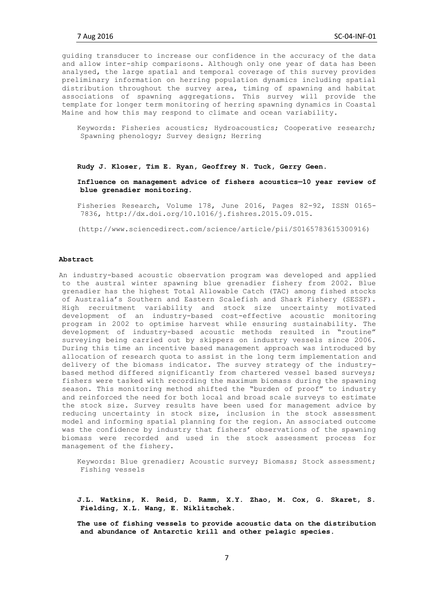guiding transducer to increase our confidence in the accuracy of the data and allow inter-ship comparisons. Although only one year of data has been analysed, the large spatial and temporal coverage of this survey provides preliminary information on herring population dynamics including spatial distribution throughout the survey area, timing of spawning and habitat associations of spawning aggregations. This survey will provide the template for longer term monitoring of herring spawning dynamics in Coastal Maine and how this may respond to climate and ocean variability.

Keywords: Fisheries acoustics; Hydroacoustics; Cooperative research; Spawning phenology; Survey design; Herring

#### **Rudy J. Kloser, Tim E. Ryan, Geoffrey N. Tuck, Gerry Geen**.

**Influence on management advice of fishers acoustics—10 year review of blue grenadier monitoring.**

Fisheries Research, Volume 178, June 2016, Pages 82-92, ISSN 0165- 7836, http://dx.doi.org/10.1016/j.fishres.2015.09.015.

(http://www.sciencedirect.com/science/article/pii/S0165783615300916)

#### **Abstract**

An industry-based acoustic observation program was developed and applied to the austral winter spawning blue grenadier fishery from 2002. Blue grenadier has the highest Total Allowable Catch (TAC) among fished stocks of Australia's Southern and Eastern Scalefish and Shark Fishery (SESSF). High recruitment variability and stock size uncertainty motivated development of an industry-based cost-effective acoustic monitoring program in 2002 to optimise harvest while ensuring sustainability. The development of industry-based acoustic methods resulted in "routine" surveying being carried out by skippers on industry vessels since 2006. During this time an incentive based management approach was introduced by allocation of research quota to assist in the long term implementation and delivery of the biomass indicator. The survey strategy of the industrybased method differed significantly from chartered vessel based surveys; fishers were tasked with recording the maximum biomass during the spawning season. This monitoring method shifted the "burden of proof" to industry and reinforced the need for both local and broad scale surveys to estimate the stock size. Survey results have been used for management advice by reducing uncertainty in stock size, inclusion in the stock assessment model and informing spatial planning for the region. An associated outcome was the confidence by industry that fishers' observations of the spawning biomass were recorded and used in the stock assessment process for management of the fishery.

Keywords: Blue grenadier; Acoustic survey; Biomass; Stock assessment; Fishing vessels

**J.L. Watkins, K. Reid, D. Ramm, X.Y. Zhao, M. Cox, G. Skaret, S. Fielding, X.L. Wang, E. Niklitschek**.

**The use of fishing vessels to provide acoustic data on the distribution and abundance of Antarctic krill and other pelagic species.**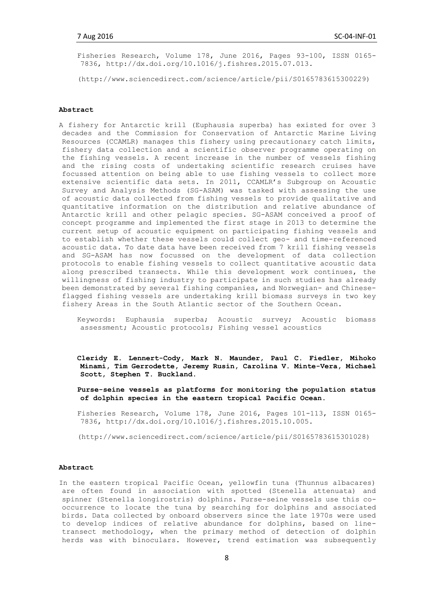Fisheries Research, Volume 178, June 2016, Pages 93-100, ISSN 0165- 7836, http://dx.doi.org/10.1016/j.fishres.2015.07.013.

(http://www.sciencedirect.com/science/article/pii/S0165783615300229)

# **Abstract**

A fishery for Antarctic krill (Euphausia superba) has existed for over 3 decades and the Commission for Conservation of Antarctic Marine Living Resources (CCAMLR) manages this fishery using precautionary catch limits, fishery data collection and a scientific observer programme operating on the fishing vessels. A recent increase in the number of vessels fishing and the rising costs of undertaking scientific research cruises have focussed attention on being able to use fishing vessels to collect more extensive scientific data sets. In 2011, CCAMLR's Subgroup on Acoustic Survey and Analysis Methods (SG-ASAM) was tasked with assessing the use of acoustic data collected from fishing vessels to provide qualitative and quantitative information on the distribution and relative abundance of Antarctic krill and other pelagic species. SG-ASAM conceived a proof of concept programme and implemented the first stage in 2013 to determine the current setup of acoustic equipment on participating fishing vessels and to establish whether these vessels could collect geo- and time-referenced acoustic data. To date data have been received from 7 krill fishing vessels and SG-ASAM has now focussed on the development of data collection protocols to enable fishing vessels to collect quantitative acoustic data along prescribed transects. While this development work continues, the willingness of fishing industry to participate in such studies has already been demonstrated by several fishing companies, and Norwegian- and Chineseflagged fishing vessels are undertaking krill biomass surveys in two key fishery Areas in the South Atlantic sector of the Southern Ocean.

Keywords: Euphausia superba; Acoustic survey; Acoustic biomass assessment; Acoustic protocols; Fishing vessel acoustics

- **Cleridy E. Lennert-Cody, Mark N. Maunder, Paul C. Fiedler, Mihoko Minami, Tim Gerrodette, Jeremy Rusin, Carolina V. Minte-Vera, Michael Scott, Stephen T. Buckland**.
- **Purse-seine vessels as platforms for monitoring the population status of dolphin species in the eastern tropical Pacific Ocean.**

Fisheries Research, Volume 178, June 2016, Pages 101-113, ISSN 0165- 7836, http://dx.doi.org/10.1016/j.fishres.2015.10.005.

(http://www.sciencedirect.com/science/article/pii/S0165783615301028)

# **Abstract**

In the eastern tropical Pacific Ocean, yellowfin tuna (Thunnus albacares) are often found in association with spotted (Stenella attenuata) and spinner (Stenella longirostris) dolphins. Purse-seine vessels use this cooccurrence to locate the tuna by searching for dolphins and associated birds. Data collected by onboard observers since the late 1970s were used to develop indices of relative abundance for dolphins, based on linetransect methodology, when the primary method of detection of dolphin herds was with binoculars. However, trend estimation was subsequently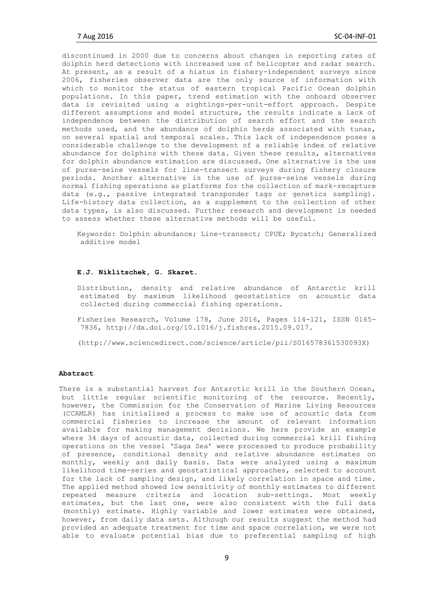discontinued in 2000 due to concerns about changes in reporting rates of dolphin herd detections with increased use of helicopter and radar search. At present, as a result of a hiatus in fishery-independent surveys since 2006, fisheries observer data are the only source of information with which to monitor the status of eastern tropical Pacific Ocean dolphin populations. In this paper, trend estimation with the onboard observer data is revisited using a sightings-per-unit-effort approach. Despite different assumptions and model structure, the results indicate a lack of independence between the distribution of search effort and the search methods used, and the abundance of dolphin herds associated with tunas, on several spatial and temporal scales. This lack of independence poses a considerable challenge to the development of a reliable index of relative abundance for dolphins with these data. Given these results, alternatives for dolphin abundance estimation are discussed. One alternative is the use of purse-seine vessels for line-transect surveys during fishery closure periods. Another alternative is the use of purse-seine vessels during normal fishing operations as platforms for the collection of mark-recapture data (e.g., passive integrated transponder tags or genetics sampling). Life-history data collection, as a supplement to the collection of other data types, is also discussed. Further research and development is needed to assess whether these alternative methods will be useful.

Keywords: Dolphin abundance; Line-transect; CPUE; Bycatch; Generalized additive model

# **E.J. Niklitschek, G. Skaret**.

Distribution, density and relative abundance of Antarctic krill estimated by maximum likelihood geostatistics on acoustic data collected during commercial fishing operations.

Fisheries Research, Volume 178, June 2016, Pages 114-121, ISSN 0165- 7836, http://dx.doi.org/10.1016/j.fishres.2015.09.017.

(http://www.sciencedirect.com/science/article/pii/S016578361530093X)

# **Abstract**

There is a substantial harvest for Antarctic krill in the Southern Ocean, but little regular scientific monitoring of the resource. Recently, however, the Commission for the Conservation of Marine Living Resources (CCAMLR) has initialised a process to make use of acoustic data from commercial fisheries to increase the amount of relevant information available for making management decisions. We here provide an example where 34 days of acoustic data, collected during commercial krill fishing operations on the vessel 'Saga Sea' were processed to produce probability of presence, conditional density and relative abundance estimates on monthly, weekly and daily basis. Data were analyzed using a maximum likelihood time-series and geostatistical approaches, selected to account for the lack of sampling design, and likely correlation in space and time. The applied method showed low sensitivity of monthly estimates to different repeated measure criteria and location sub-settings. Most weekly estimates, but the last one, were also consistent with the full data (monthly) estimate. Highly variable and lower estimates were obtained, however, from daily data sets. Although our results suggest the method had provided an adequate treatment for time and space correlation, we were not able to evaluate potential bias due to preferential sampling of high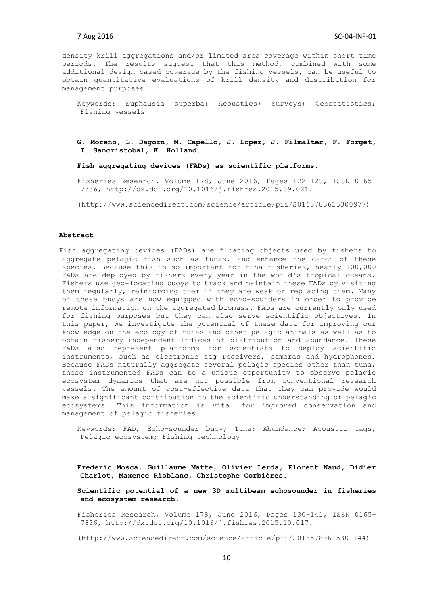density krill aggregations and/or limited area coverage within short time periods. The results suggest that this method, combined with some additional design based coverage by the fishing vessels, can be useful to obtain quantitative evaluations of krill density and distribution for management purposes.

Keywords: Euphausia superba; Acoustics; Surveys; Geostatistics; Fishing vessels

**G. Moreno, L. Dagorn, M. Capello, J. Lopez, J. Filmalter, F. Forget, I. Sancristobal, K. Holland**.

**Fish aggregating devices (FADs) as scientific platforms.**

Fisheries Research, Volume 178, June 2016, Pages 122-129, ISSN 0165- 7836, http://dx.doi.org/10.1016/j.fishres.2015.09.021.

(http://www.sciencedirect.com/science/article/pii/S0165783615300977)

### **Abstract**

Fish aggregating devices (FADs) are floating objects used by fishers to aggregate pelagic fish such as tunas, and enhance the catch of these species. Because this is so important for tuna fisheries, nearly 100,000 FADs are deployed by fishers every year in the world's tropical oceans. Fishers use geo-locating buoys to track and maintain these FADs by visiting them regularly, reinforcing them if they are weak or replacing them. Many of these buoys are now equipped with echo-sounders in order to provide remote information on the aggregated biomass. FADs are currently only used for fishing purposes but they can also serve scientific objectives. In this paper, we investigate the potential of these data for improving our knowledge on the ecology of tunas and other pelagic animals as well as to obtain fishery-independent indices of distribution and abundance. These FADs also represent platforms for scientists to deploy scientific instruments, such as electronic tag receivers, cameras and hydrophones. Because FADs naturally aggregate several pelagic species other than tuna, these instrumented FADs can be a unique opportunity to observe pelagic ecosystem dynamics that are not possible from conventional research vessels. The amount of cost-effective data that they can provide would make a significant contribution to the scientific understanding of pelagic ecosystems. This information is vital for improved conservation and management of pelagic fisheries.

Keywords: FAD; Echo-sounder buoy; Tuna; Abundance; Acoustic tags; Pelagic ecosystem; Fishing technology

**Frederic Mosca, Guillaume Matte, Olivier Lerda, Florent Naud, Didier Charlot, Maxence Rioblanc, Christophe Corbières**.

**Scientific potential of a new 3D multibeam echosounder in fisheries and ecosystem research.**

Fisheries Research, Volume 178, June 2016, Pages 130-141, ISSN 0165- 7836, http://dx.doi.org/10.1016/j.fishres.2015.10.017.

(http://www.sciencedirect.com/science/article/pii/S0165783615301144)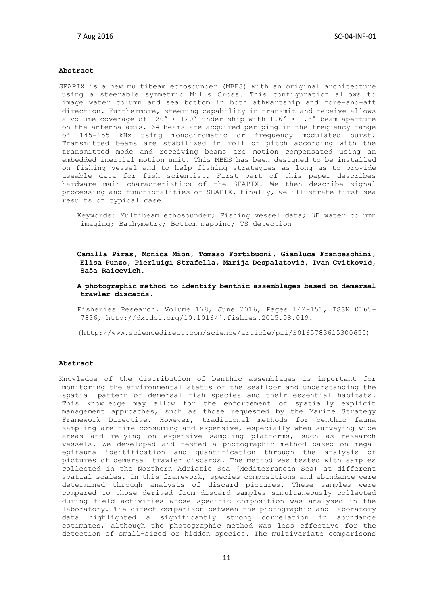## **Abstract**

SEAPIX is a new multibeam echosounder (MBES) with an original architecture using a steerable symmetric Mills Cross. This configuration allows to image water column and sea bottom in both athwartship and fore-and-aft direction. Furthermore, steering capability in transmit and receive allows a volume coverage of  $120^{\circ}$  ×  $120^{\circ}$  under ship with  $1.6^{\circ}$  ×  $1.6^{\circ}$  beam aperture on the antenna axis. 64 beams are acquired per ping in the frequency range of 145–155 kHz using monochromatic or frequency modulated burst. Transmitted beams are stabilized in roll or pitch according with the transmitted mode and receiving beams are motion compensated using an embedded inertial motion unit. This MBES has been designed to be installed on fishing vessel and to help fishing strategies as long as to provide useable data for fish scientist. First part of this paper describes hardware main characteristics of the SEAPIX. We then describe signal processing and functionalities of SEAPIX. Finally, we illustrate first sea results on typical case.

Keywords: Multibeam echosounder; Fishing vessel data; 3D water column imaging; Bathymetry; Bottom mapping; TS detection

**Camilla Piras, Monica Mion, Tomaso Fortibuoni, Gianluca Franceschini, Elisa Punzo, Pierluigi Strafella, Marija Despalatović, Ivan Cvitković, Saša Raicevich**.

**A photographic method to identify benthic assemblages based on demersal trawler discards.**

Fisheries Research, Volume 178, June 2016, Pages 142-151, ISSN 0165- 7836, http://dx.doi.org/10.1016/j.fishres.2015.08.019.

(http://www.sciencedirect.com/science/article/pii/S0165783615300655)

#### **Abstract**

Knowledge of the distribution of benthic assemblages is important for monitoring the environmental status of the seafloor and understanding the spatial pattern of demersal fish species and their essential habitats. This knowledge may allow for the enforcement of spatially explicit management approaches, such as those requested by the Marine Strategy Framework Directive. However, traditional methods for benthic fauna sampling are time consuming and expensive, especially when surveying wide areas and relying on expensive sampling platforms, such as research vessels. We developed and tested a photographic method based on megaepifauna identification and quantification through the analysis of pictures of demersal trawler discards. The method was tested with samples collected in the Northern Adriatic Sea (Mediterranean Sea) at different spatial scales. In this framework, species compositions and abundance were determined through analysis of discard pictures. These samples were compared to those derived from discard samples simultaneously collected during field activities whose specific composition was analysed in the laboratory. The direct comparison between the photographic and laboratory data highlighted a significantly strong correlation in abundance estimates, although the photographic method was less effective for the detection of small-sized or hidden species. The multivariate comparisons